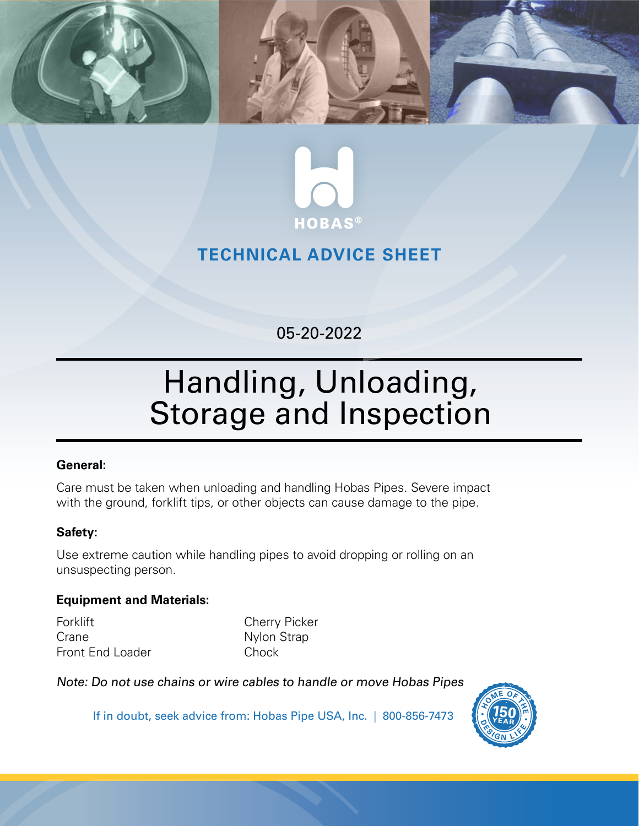



## **TECHNICAL ADVICE SHEET**

## 05-20-2022

# Handling, Unloading, Storage and Inspection

#### **General:**

Care must be taken when unloading and handling Hobas Pipes. Severe impact with the ground, forklift tips, or other objects can cause damage to the pipe.

### **Safety:**

Use extreme caution while handling pipes to avoid dropping or rolling on an unsuspecting person.

#### **Equipment and Materials:**

Forklift **Cherry Picker** Crane Nylon Strap Front End Loader Chock

Note: Do not use chains or wire cables to handle or move Hobas Pipes



If in doubt, seek advice from: Hobas Pipe USA, Inc. | 800-856-7473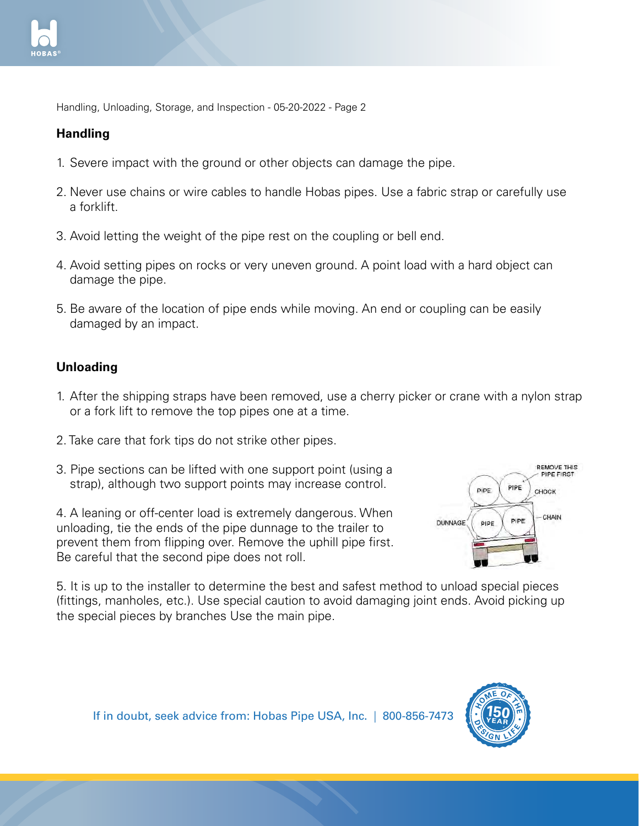

Handling, Unloading, Storage, and Inspection - 05-20-2022 - Page 2

#### **Handling**

- 1. Severe impact with the ground or other objects can damage the pipe. 5. Be aware of the location of pipe ends
- 2. Never use chains or wire cables to handle Hobas pipes. Use a fabric strap or carefully use a forklift.
- 3. Avoid letting the weight of the pipe rest on the coupling or bell end.
- 4. Avoid setting pipes on rocks or very uneven ground. A point load with a hard object can damage the pipe.
- 5. Be aware of the location of pipe ends while moving. An end or coupling can be easily damaged by an impact.  $\frac{3}{2}$  can be lifted with one lifted with one lifetime  $\frac{3}{2}$

#### **Unloading**

- 1. After the shipping straps have been removed, use a cherry picker or crane with a nylon strap or a fork lift to remove the top pipes one at a time. extremely dangerous. When unloadier or crane with a hylon strap
- 2. Take care that fork tips do not strike other pipes.
- 3. Pipe sections can be lifted with one support point (using a strap), although two support points may increase control.

4. A leaning or off-center load is extremely dangerous. When unloading, tie the ends of the pipe dunnage to the trailer to prevent them from flipping over. Remove the uphill pipe first. Be careful that the second pipe does not roll.



5. It is up to the installer to determine the best and safest method to unload special pieces (fittings, manholes, etc.). Use special caution to avoid damaging joint ends. Avoid picking up the special pieces by branches Use the main pipe. 5. It is up to the installer to determine the best and special pieces

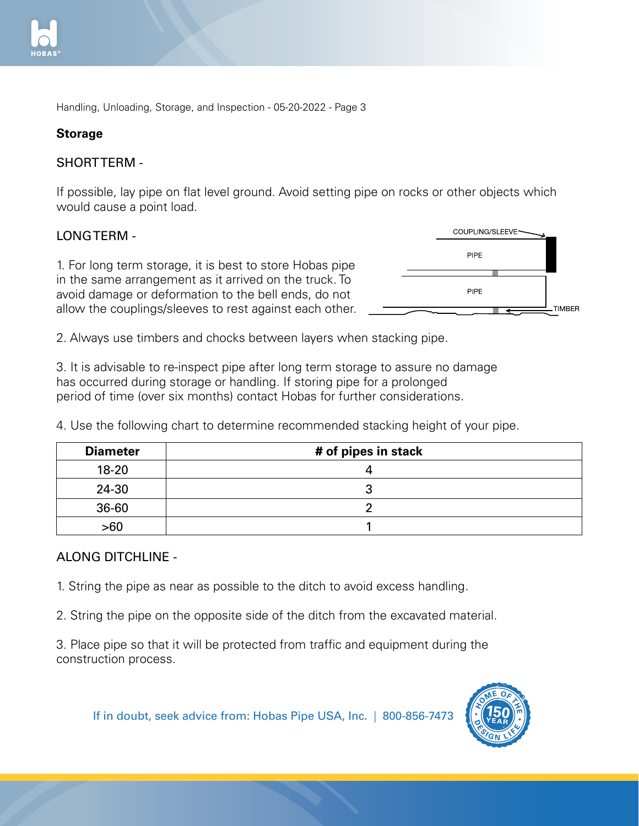

Handling, Unloading, Storage, and Inspection - 05-20-2022 - Page 3 strap or carefully use a forklift.

1. Severe impact with the ground or

#### **Storage**

#### SHORT TERM -  $\Lambda$  -

If possible, lay pipe on flat level ground. Avoid setting pipe on rocks or other objects which would cause a point load. 5. Bipo off hat lover ground. Two a both  $m<sub>i</sub>$  moving. An end or coupling. An end or coupling. the contraction of the bell ends to the bell end to the bell end to the bell ends. cond of other expects which

#### LONG TERM -

1. For long term storage, it is best to store Hobas pipe in the same arrangement as it arrived on the truck. To  $\;$ avoid damage or deformation to the bell ends, do not allow the couplings/sleeves to rest against each other. m storage, it is best to store Hobas



2. Always use timbers and chocks between layers when stacking pipe. 2. Always use timbers and chocks

3. It is advisable to re-inspect pipe after long term storage to assure no damage has occurred during storage or handling. If storing pipe for a prolonged period of time (over six months) contact Hobas for further considerations. increase control.

4. Use the following chart to determine recommended stacking height of your pipe. extremely distributed by determined becommon  $\kappa$ ing height of your pipe.

| <b>Diameter</b> | # of pipes in stack |  |
|-----------------|---------------------|--|
| $18 - 20$       |                     |  |
| 24-30           |                     |  |
| 36-60           |                     |  |
| >60             |                     |  |

#### ALONG DITCHLINE -

1. String the pipe as near as possible to the ditch to avoid excess handling.

2. String the pipe on the opposite side of the ditch from the excavated material. 1. String the pipe as near as possible to excavated material.

3. Place pipe so that it will be protected from traffic and equipment during the construction process. that it will be protected from traffic and equipment during the the state of the state of the state of the sta  $\epsilon$ etc.). Use special caution to avoid to avoid to avoid  $\epsilon$ 

Use the main pipe. If in doubt, seek advice from: Hobas Pipe USA, Inc. | 800-856-7473